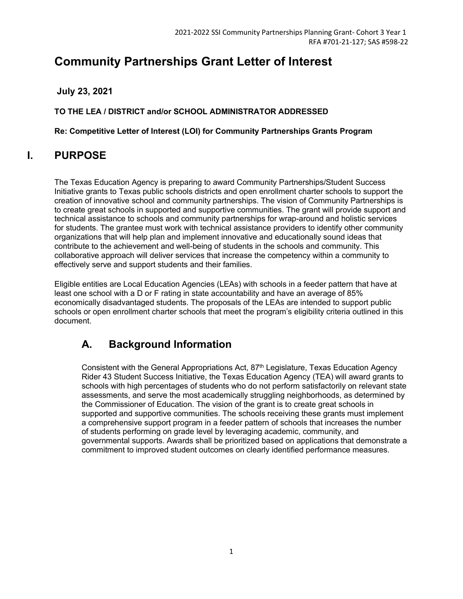# **Community Partnerships Grant Letter of Interest**

**July 23, 2021**

**TO THE LEA / DISTRICT and/or SCHOOL ADMINISTRATOR ADDRESSED**

**Re: Competitive Letter of Interest (LOI) for Community Partnerships Grants Program**

# **I. PURPOSE**

The Texas Education Agency is preparing to award Community Partnerships/Student Success Initiative grants to Texas public schools districts and open enrollment charter schools to support the creation of innovative school and community partnerships. The vision of Community Partnerships is to create great schools in supported and supportive communities. The grant will provide support and technical assistance to schools and community partnerships for wrap-around and holistic services for students. The grantee must work with technical assistance providers to identify other community organizations that will help plan and implement innovative and educationally sound ideas that contribute to the achievement and well-being of students in the schools and community. This collaborative approach will deliver services that increase the competency within a community to effectively serve and support students and their families.

Eligible entities are Local Education Agencies (LEAs) with schools in a feeder pattern that have at least one school with a D or F rating in state accountability and have an average of 85% economically disadvantaged students. The proposals of the LEAs are intended to support public schools or open enrollment charter schools that meet the program's eligibility criteria outlined in this document.

# **A. Background Information**

Consistent with the General Appropriations Act, 87<sup>th</sup> Legislature, Texas Education Agency Rider 43 Student Success Initiative, the Texas Education Agency (TEA) will award grants to schools with high percentages of students who do not perform satisfactorily on relevant state assessments, and serve the most academically struggling neighborhoods, as determined by the Commissioner of Education. The vision of the grant is to create great schools in supported and supportive communities. The schools receiving these grants must implement a comprehensive support program in a feeder pattern of schools that increases the number of students performing on grade level by leveraging academic, community, and governmental supports. Awards shall be prioritized based on applications that demonstrate a commitment to improved student outcomes on clearly identified performance measures.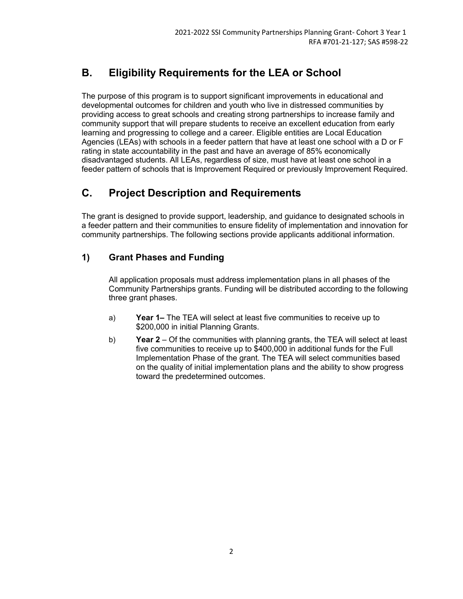## **B. Eligibility Requirements for the LEA or School**

The purpose of this program is to support significant improvements in educational and developmental outcomes for children and youth who live in distressed communities by providing access to great schools and creating strong partnerships to increase family and community support that will prepare students to receive an excellent education from early learning and progressing to college and a career. Eligible entities are Local Education Agencies (LEAs) with schools in a feeder pattern that have at least one school with a D or F rating in state accountability in the past and have an average of 85% economically disadvantaged students. All LEAs, regardless of size, must have at least one school in a feeder pattern of schools that is Improvement Required or previously Improvement Required.

## **C. Project Description and Requirements**

The grant is designed to provide support, leadership, and guidance to designated schools in a feeder pattern and their communities to ensure fidelity of implementation and innovation for community partnerships. The following sections provide applicants additional information.

## **1) Grant Phases and Funding**

All application proposals must address implementation plans in all phases of the Community Partnerships grants. Funding will be distributed according to the following three grant phases.

- a) **Year 1–** The TEA will select at least five communities to receive up to \$200,000 in initial Planning Grants.
- b) **Year 2** Of the communities with planning grants, the TEA will select at least five communities to receive up to \$400,000 in additional funds for the Full Implementation Phase of the grant. The TEA will select communities based on the quality of initial implementation plans and the ability to show progress toward the predetermined outcomes.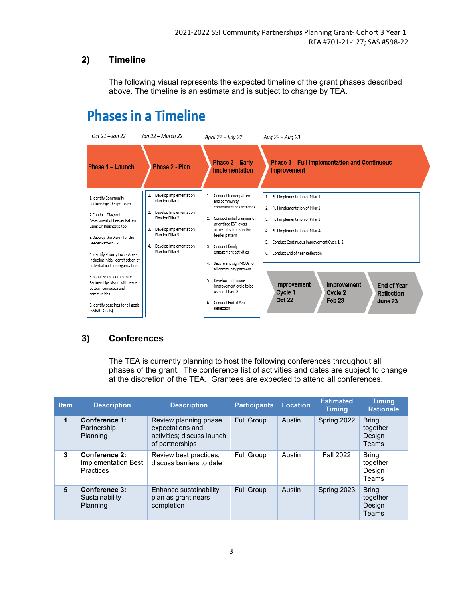## **2) Timeline**

The following visual represents the expected timeline of the grant phases described above. The timeline is an estimate and is subject to change by TEA.

# **Phases in a Timeline**

| Oct $21 - \text{Jan } 22$                                                                                                                                                                                                                                                                                                                                                                                                                                                | Jan 22 – March 22                                                                                                                                                                                          | April 22 – July 22                                                                                                                                                                                                                                                                                                                                                                                                          | Aug 22 – Aug 23                                                                                                                                                                                                                                                                                                                                                                           |  |  |
|--------------------------------------------------------------------------------------------------------------------------------------------------------------------------------------------------------------------------------------------------------------------------------------------------------------------------------------------------------------------------------------------------------------------------------------------------------------------------|------------------------------------------------------------------------------------------------------------------------------------------------------------------------------------------------------------|-----------------------------------------------------------------------------------------------------------------------------------------------------------------------------------------------------------------------------------------------------------------------------------------------------------------------------------------------------------------------------------------------------------------------------|-------------------------------------------------------------------------------------------------------------------------------------------------------------------------------------------------------------------------------------------------------------------------------------------------------------------------------------------------------------------------------------------|--|--|
| Phase 1 - Launch                                                                                                                                                                                                                                                                                                                                                                                                                                                         | Phase 2 - Plan                                                                                                                                                                                             | Phase 2 - Early<br>Implementation                                                                                                                                                                                                                                                                                                                                                                                           | <b>Phase 3 - Full Implementation and Continuous</b><br><b>Improvement</b>                                                                                                                                                                                                                                                                                                                 |  |  |
| 1.Identify Community<br>Partnerships Design Team<br>2. Conduct Diagnostic<br>Assessment of Feeder Pattern<br>using CP Diagnostic tool<br>3. Develop the Vision for the<br>Feeder Pattern CP<br>4.Identify Priority Focus Areas,<br>including initial identification of<br>potential partner organizations<br>5. Socialize the Community<br>Partnerships vision with feeder<br>pattern campuses and<br>communities<br>6.Identify baselines for all goals<br>(SMART Goals) | Develop Implementation<br>Plan for Pillar 1<br>Develop Implementation<br>2.<br>Plan for Pillar 2<br>Develop Implementation<br>3.<br>Plan for Pillar 3<br>Develop Implementation<br>4.<br>Plan for Pillar 4 | Conduct feeder pattern<br>$1$ .<br>and community<br>communications activities<br>Conduct initial trainings on<br>2.<br>prioritized ESF levers<br>across all schools in the<br>feeder pattern<br>Conduct family<br>3.<br>engagement activities<br>4. Secure and sign MOUs for<br>all community partners<br>Develop continuous<br>5.<br>improvement cycle to be<br>used in Phase 3<br>Conduct End of Year<br>6.<br>Reflection | 1. Full implementation of Pillar 1<br>2. Full implementation of Pillar 2<br>3. Full implementation of Pillar 3<br>4. Full implementation of Pillar 4<br>5. Conduct Continuous Improvement Cycle 1, 2<br>6. Conduct End of Year Reflection<br>Improvement<br>Improvement<br><b>End of Year</b><br>Cycle 1<br>Cycle 2<br><b>Reflection</b><br><b>Oct 22</b><br>Feb <sub>23</sub><br>June 23 |  |  |

### **3) Conferences**

The TEA is currently planning to host the following conferences throughout all phases of the grant. The conference list of activities and dates are subject to change at the discretion of the TEA. Grantees are expected to attend all conferences.

| <b>Item</b> | <b>Description</b>                                | <b>Description</b>                                                                         | <b>Participants</b> | <b>Location</b> | <b>Estimated</b><br><b>Timina</b> | <b>Timina</b><br><b>Rationale</b>           |
|-------------|---------------------------------------------------|--------------------------------------------------------------------------------------------|---------------------|-----------------|-----------------------------------|---------------------------------------------|
| 1           | Conference 1:<br>Partnership<br>Planning          | Review planning phase<br>expectations and<br>activities; discuss launch<br>of partnerships | <b>Full Group</b>   | Austin          | Spring 2022                       | <b>Bring</b><br>together<br>Design<br>Teams |
| 3           | Conference 2:<br>Implementation Best<br>Practices | Review best practices;<br>discuss barriers to date                                         | <b>Full Group</b>   | Austin          | <b>Fall 2022</b>                  | <b>Bring</b><br>together<br>Design<br>Teams |
| 5           | Conference 3:<br>Sustainability<br>Planning       | Enhance sustainability<br>plan as grant nears<br>completion                                | <b>Full Group</b>   | Austin          | Spring 2023                       | <b>Bring</b><br>together<br>Design<br>Teams |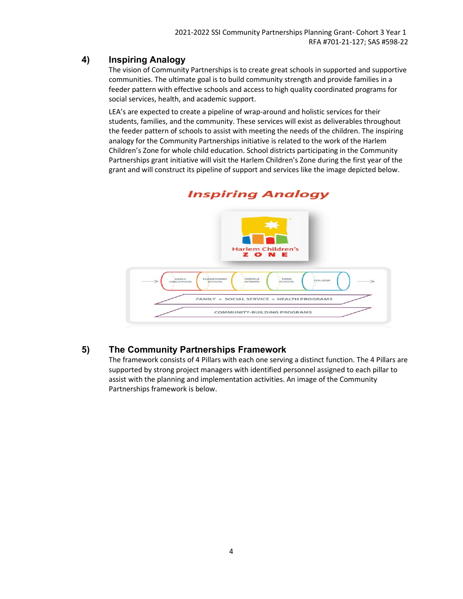#### **4) Inspiring Analogy**

The vision of Community Partnerships is to create great schools in supported and supportive communities. The ultimate goal is to build community strength and provide families in a feeder pattern with effective schools and access to high quality coordinated programs for social services, health, and academic support.

LEA's are expected to create a pipeline of wrap-around and holistic services for their students, families, and the community. These services will exist as deliverables throughout the feeder pattern of schools to assist with meeting the needs of the children. The inspiring analogy for the Community Partnerships initiative is related to the work of the Harlem Children's Zone for whole child education. School districts participating in the Community Partnerships grant initiative will visit the Harlem Children's Zone during the first year of the grant and will construct its pipeline of support and services like the image depicted below.



## **Inspiring Analogy**

#### **5) The Community Partnerships Framework**

The framework consists of 4 Pillars with each one serving a distinct function. The 4 Pillars are supported by strong project managers with identified personnel assigned to each pillar to assist with the planning and implementation activities. An image of the Community Partnerships framework is below.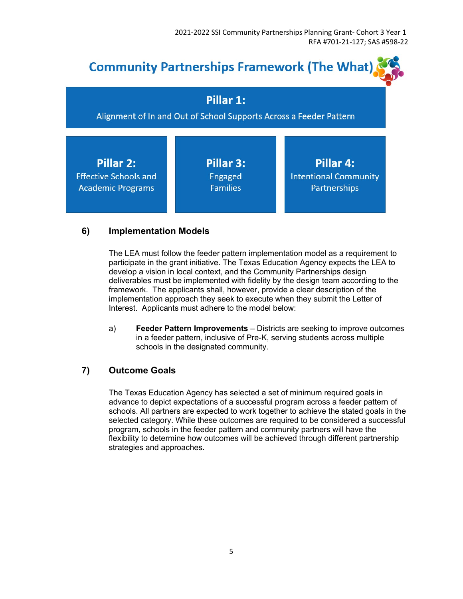

#### **6) Implementation Models**

The LEA must follow the feeder pattern implementation model as a requirement to participate in the grant initiative. The Texas Education Agency expects the LEA to develop a vision in local context, and the Community Partnerships design deliverables must be implemented with fidelity by the design team according to the framework. The applicants shall, however, provide a clear description of the implementation approach they seek to execute when they submit the Letter of Interest. Applicants must adhere to the model below:

a) **Feeder Pattern Improvements** – Districts are seeking to improve outcomes in a feeder pattern, inclusive of Pre-K, serving students across multiple schools in the designated community.

#### **7) Outcome Goals**

The Texas Education Agency has selected a set of minimum required goals in advance to depict expectations of a successful program across a feeder pattern of schools. All partners are expected to work together to achieve the stated goals in the selected category. While these outcomes are required to be considered a successful program, schools in the feeder pattern and community partners will have the flexibility to determine how outcomes will be achieved through different partnership strategies and approaches.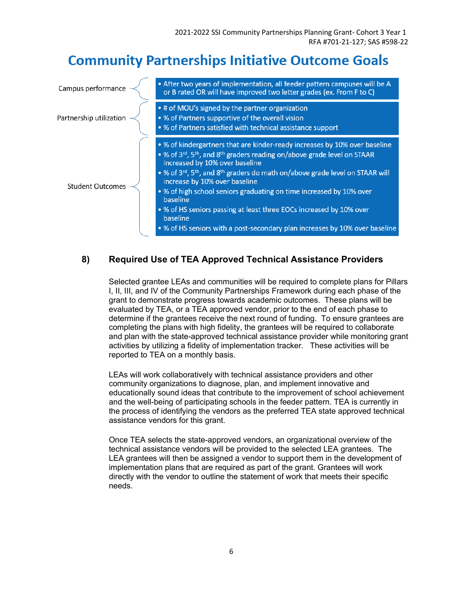# **Community Partnerships Initiative Outcome Goals**

| Campus performance      | . After two years of implementation, all feeder pattern campuses will be A<br>or B rated OR will have improved two letter grades (ex. From F to C)                                                                                                                                                                                                                                                                                                                                                                                                                                                                                      |
|-------------------------|-----------------------------------------------------------------------------------------------------------------------------------------------------------------------------------------------------------------------------------------------------------------------------------------------------------------------------------------------------------------------------------------------------------------------------------------------------------------------------------------------------------------------------------------------------------------------------------------------------------------------------------------|
| Partnership utilization | • # of MOU's signed by the partner organization<br>• % of Partners supportive of the overall vision<br>• % of Partners satisfied with technical assistance support                                                                                                                                                                                                                                                                                                                                                                                                                                                                      |
| <b>Student Outcomes</b> | • % of kindergartners that are kinder-ready increases by 10% over baseline<br>• % of 3 <sup>rd</sup> , 5 <sup>th</sup> , and 8 <sup>th</sup> graders reading on/above grade level on STAAR<br>increased by 10% over baseline<br>• % of 3 <sup>rd</sup> , 5 <sup>th</sup> , and 8 <sup>th</sup> graders do math on/above grade level on STAAR will<br>increase by 10% over baseline<br>• % of high school seniors graduating on time increased by 10% over<br>baseline<br>• % of HS seniors passing at least three EOCs increased by 10% over<br>baseline<br>• % of HS seniors with a post-secondary plan increases by 10% over baseline |

#### **8) Required Use of TEA Approved Technical Assistance Providers**

Selected grantee LEAs and communities will be required to complete plans for Pillars I, II, III, and IV of the Community Partnerships Framework during each phase of the grant to demonstrate progress towards academic outcomes. These plans will be evaluated by TEA, or a TEA approved vendor, prior to the end of each phase to determine if the grantees receive the next round of funding. To ensure grantees are completing the plans with high fidelity, the grantees will be required to collaborate and plan with the state-approved technical assistance provider while monitoring grant activities by utilizing a fidelity of implementation tracker. These activities will be reported to TEA on a monthly basis.

LEAs will work collaboratively with technical assistance providers and other community organizations to diagnose, plan, and implement innovative and educationally sound ideas that contribute to the improvement of school achievement and the well-being of participating schools in the feeder pattern. TEA is currently in the process of identifying the vendors as the preferred TEA state approved technical assistance vendors for this grant.

Once TEA selects the state-approved vendors, an organizational overview of the technical assistance vendors will be provided to the selected LEA grantees. The LEA grantees will then be assigned a vendor to support them in the development of implementation plans that are required as part of the grant. Grantees will work directly with the vendor to outline the statement of work that meets their specific needs.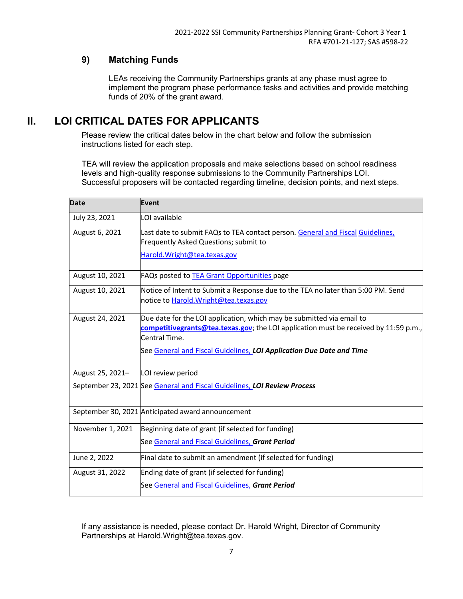## **9) Matching Funds**

LEAs receiving the Community Partnerships grants at any phase must agree to implement the program phase performance tasks and activities and provide matching funds of 20% of the grant award.

## **II. LOI CRITICAL DATES FOR APPLICANTS**

Please review the critical dates below in the chart below and follow the submission instructions listed for each step.

TEA will review the application proposals and make selections based on school readiness levels and high-quality response submissions to the Community Partnerships LOI. Successful proposers will be contacted regarding timeline, decision points, and next steps.

| <b>Date</b>      | <b>Event</b>                                                                                                                                                                                                                                           |
|------------------|--------------------------------------------------------------------------------------------------------------------------------------------------------------------------------------------------------------------------------------------------------|
| July 23, 2021    | LOI available                                                                                                                                                                                                                                          |
| August 6, 2021   | Last date to submit FAQs to TEA contact person. General and Fiscal Guidelines,<br>Frequently Asked Questions; submit to<br>Harold. Wright@tea.texas.gov                                                                                                |
| August 10, 2021  | FAQs posted to TEA Grant Opportunities page                                                                                                                                                                                                            |
| August 10, 2021  | Notice of Intent to Submit a Response due to the TEA no later than 5:00 PM. Send<br>notice to Harold. Wright@tea.texas.gov                                                                                                                             |
| August 24, 2021  | Due date for the LOI application, which may be submitted via email to<br>competitivegrants@tea.texas.gov; the LOI application must be received by 11:59 p.m.,<br>Central Time.<br>See General and Fiscal Guidelines, LOI Application Due Date and Time |
| August 25, 2021- | LOI review period                                                                                                                                                                                                                                      |
|                  | September 23, 2021 See General and Fiscal Guidelines, LOI Review Process                                                                                                                                                                               |
|                  | September 30, 2021 Anticipated award announcement                                                                                                                                                                                                      |
| November 1, 2021 | Beginning date of grant (if selected for funding)<br>See General and Fiscal Guidelines, Grant Period                                                                                                                                                   |
| June 2, 2022     | Final date to submit an amendment (if selected for funding)                                                                                                                                                                                            |
| August 31, 2022  | Ending date of grant (if selected for funding)                                                                                                                                                                                                         |
|                  | See General and Fiscal Guidelines, Grant Period                                                                                                                                                                                                        |

If any assistance is needed, please contact Dr. Harold Wright, Director of Community Partnerships at Harold.Wright@tea.texas.gov.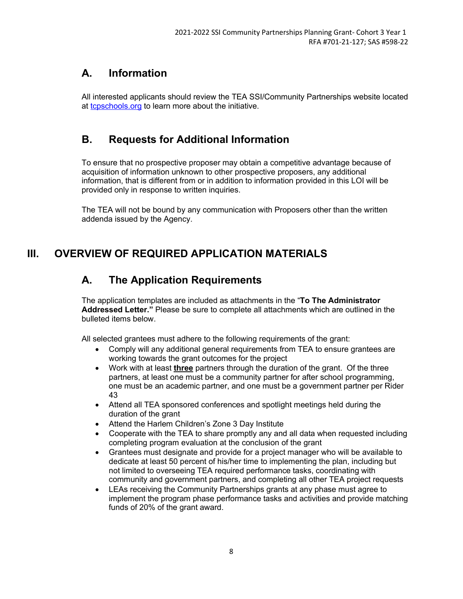## **A. Information**

All interested applicants should review the TEA SSI/Community Partnerships website located at [tcpschools.org](https://www.tcpschools.org/) to learn more about the initiative.

## **B. Requests for Additional Information**

To ensure that no prospective proposer may obtain a competitive advantage because of acquisition of information unknown to other prospective proposers, any additional information, that is different from or in addition to information provided in this LOI will be provided only in response to written inquiries.

The TEA will not be bound by any communication with Proposers other than the written addenda issued by the Agency.

# **III. OVERVIEW OF REQUIRED APPLICATION MATERIALS**

## **A. The Application Requirements**

The application templates are included as attachments in the "**To The Administrator Addressed Letter."** Please be sure to complete all attachments which are outlined in the bulleted items below.

All selected grantees must adhere to the following requirements of the grant:

- Comply will any additional general requirements from TEA to ensure grantees are working towards the grant outcomes for the project
- Work with at least **three** partners through the duration of the grant. Of the three partners, at least one must be a community partner for after school programming, one must be an academic partner, and one must be a government partner per Rider 43
- Attend all TEA sponsored conferences and spotlight meetings held during the duration of the grant
- Attend the Harlem Children's Zone 3 Day Institute
- Cooperate with the TEA to share promptly any and all data when requested including completing program evaluation at the conclusion of the grant
- Grantees must designate and provide for a project manager who will be available to dedicate at least 50 percent of his/her time to implementing the plan, including but not limited to overseeing TEA required performance tasks, coordinating with community and government partners, and completing all other TEA project requests
- LEAs receiving the Community Partnerships grants at any phase must agree to implement the program phase performance tasks and activities and provide matching funds of 20% of the grant award.